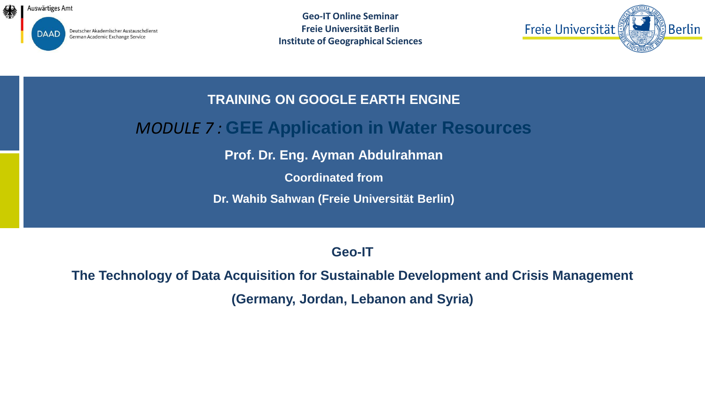

Deutscher Akademischer Austauschdienst German Academic Exchange Service

**Geo-IT Online Seminar Freie Universität Berlin Institute of Geographical Sciences**



#### **TRAINING ON GOOGLE EARTH ENGINE**

### *MODULE 7 :* **GEE Application in Water Resources**

**Prof. Dr. Eng. Ayman Abdulrahman**

**Coordinated from**

**Dr. Wahib Sahwan (Freie Universität Berlin)** 

#### **Geo-IT**

# **The Technology of Data Acquisition for Sustainable Development and Crisis Management (Germany, Jordan, Lebanon and Syria)**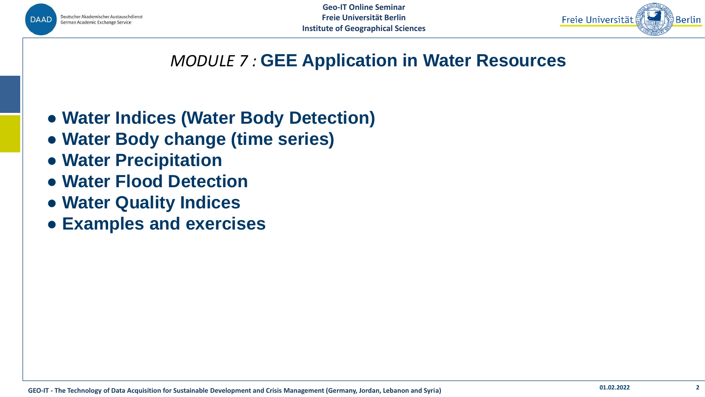



### *MODULE 7 :* **GEE Application in Water Resources**

- **● Water Indices (Water Body Detection)**
- **● Water Body change (time series)**
- **● Water Precipitation**
- **● Water Flood Detection**
- **● Water Quality Indices**
- **● Examples and exercises**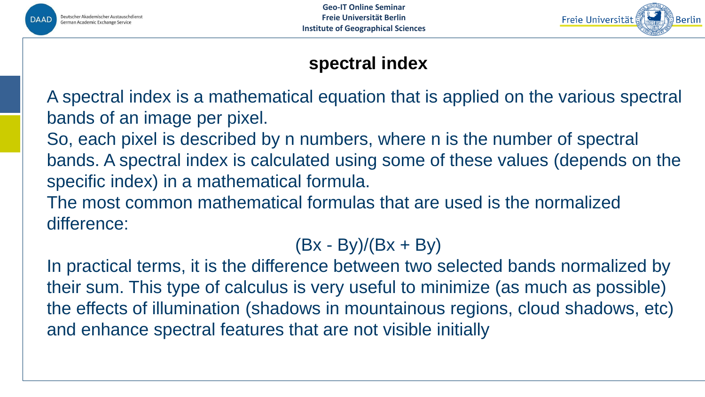



# **spectral index**

A spectral index is a mathematical equation that is applied on the various spectral bands of an image per pixel.

So, each pixel is described by n numbers, where n is the number of spectral bands. A spectral index is calculated using some of these values (depends on the specific index) in a mathematical formula.

The most common mathematical formulas that are used is the normalized difference:

 $(Bx - By)/(Bx + By)$ 

In practical terms, it is the difference between two selected bands normalized by their sum. This type of calculus is very useful to minimize (as much as possible) the effects of illumination (shadows in mountainous regions, cloud shadows, etc) and enhance spectral features that are not visible initially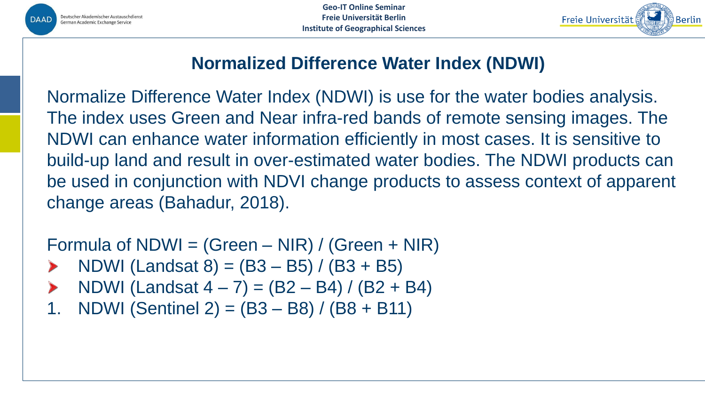

**Geo-IT Online Seminar Freie Universität Berlin Institute of Geographical Sciences**



# **Normalized Difference Water Index (NDWI)**

Normalize Difference Water Index (NDWI) is use for the water bodies analysis. The index uses Green and Near infra-red bands of remote sensing images. The NDWI can enhance water information efficiently in most cases. It is sensitive to build-up land and result in over-estimated water bodies. The NDWI products can be used in conjunction with NDVI change products to assess context of apparent change areas (Bahadur, 2018).

Formula of NDWI = (Green – NIR) / (Green + NIR)

- NDWI (Landsat  $8) = (B3 B5) / (B3 + B5)$ )
- NDWI (Landsat  $4 7$ ) = (B2 B4) / (B2 + B4)
- 1. NDWI (Sentinel 2) =  $(B3 B8) / (B8 + B11)$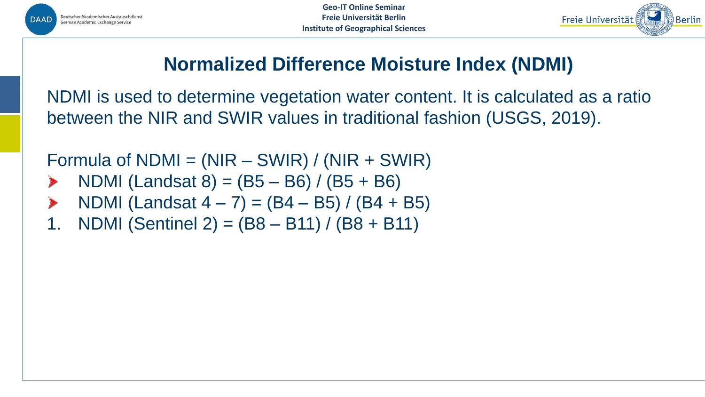



# **Normalized Difference Moisture Index (NDMI)**

NDMI is used to determine vegetation water content. It is calculated as a ratio between the NIR and SWIR values in traditional fashion (USGS, 2019).

Formula of  $NDMI = (NIR - SWIR) / (NIR + SWIR)$ 

- NDMI (Landsat  $8$ ) = (B5 B6) / (B5 + B6)
- NDMI (Landsat  $4 7$ ) = (B4 B5) / (B4 + B5)
- 1. NDMI (Sentinel 2) = (B8 B11) / (B8 + B11)